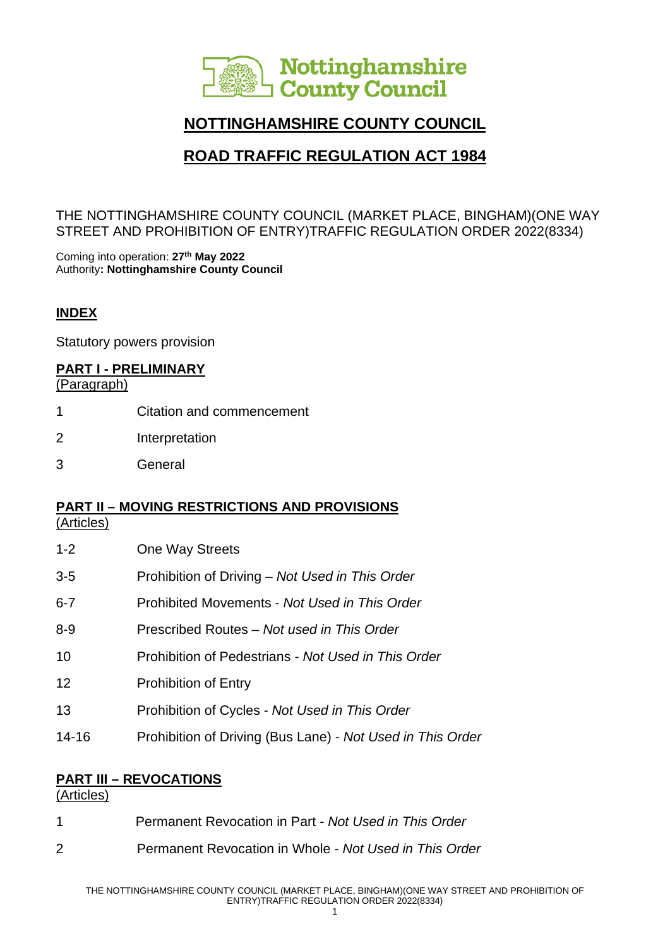

# **NOTTINGHAMSHIRE COUNTY COUNCIL**

# **ROAD TRAFFIC REGULATION ACT 1984**

THE NOTTINGHAMSHIRE COUNTY COUNCIL (MARKET PLACE, BINGHAM)(ONE WAY STREET AND PROHIBITION OF ENTRY)TRAFFIC REGULATION ORDER 2022(8334)

Coming into operation: **27th May 2022** Authority**: Nottinghamshire County Council**

#### **INDEX**

Statutory powers provision

#### **PART I - PRELIMINARY**

(Paragraph)

- 1 Citation and commencement
- 2 Interpretation
- 3 General

#### **PART II – MOVING RESTRICTIONS AND PROVISIONS**

(Articles)

- 1-2 One Way Streets 3-5 Prohibition of Driving – *Not Used in This Order*
- 6-7 Prohibited Movements *Not Used in This Order*
- 8-9 Prescribed Routes *Not used in This Order*
- 10 Prohibition of Pedestrians *Not Used in This Order*
- 12 Prohibition of Entry
- 13 Prohibition of Cycles *Not Used in This Order*
- 14-16 Prohibition of Driving (Bus Lane) *Not Used in This Order*

#### **PART III – REVOCATIONS**

(Articles)

|   | Permanent Revocation in Part - Not Used in This Order  |
|---|--------------------------------------------------------|
| 2 | Permanent Revocation in Whole - Not Used in This Order |

1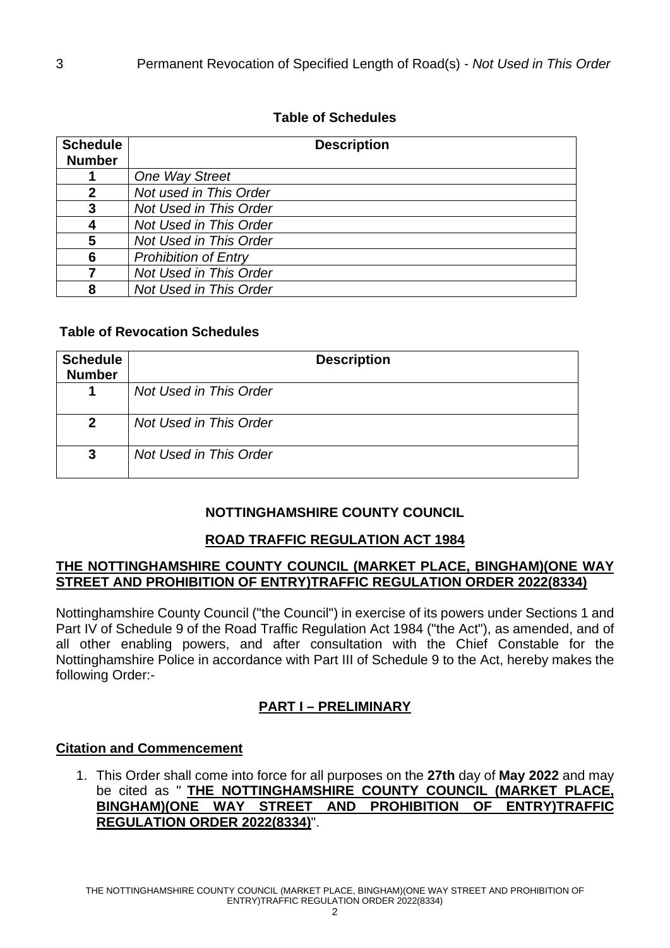# **Table of Schedules**

| <b>Schedule</b><br><b>Number</b> | <b>Description</b>          |
|----------------------------------|-----------------------------|
|                                  | One Way Street              |
| 2                                | Not used in This Order      |
| 3                                | Not Used in This Order      |
|                                  | Not Used in This Order      |
| 5                                | Not Used in This Order      |
| 6                                | <b>Prohibition of Entry</b> |
|                                  | Not Used in This Order      |
| Զ                                | Not Used in This Order      |

### **Table of Revocation Schedules**

| <b>Schedule</b><br><b>Number</b> | <b>Description</b>     |
|----------------------------------|------------------------|
|                                  | Not Used in This Order |
| $\mathbf{2}$                     | Not Used in This Order |
| $\mathbf{3}$                     | Not Used in This Order |

# **NOTTINGHAMSHIRE COUNTY COUNCIL**

# **ROAD TRAFFIC REGULATION ACT 1984**

#### **THE NOTTINGHAMSHIRE COUNTY COUNCIL (MARKET PLACE, BINGHAM)(ONE WAY STREET AND PROHIBITION OF ENTRY)TRAFFIC REGULATION ORDER 2022(8334)**

Nottinghamshire County Council ("the Council") in exercise of its powers under Sections 1 and Part IV of Schedule 9 of the Road Traffic Regulation Act 1984 ("the Act"), as amended, and of all other enabling powers, and after consultation with the Chief Constable for the Nottinghamshire Police in accordance with Part III of Schedule 9 to the Act, hereby makes the following Order:-

# **PART I – PRELIMINARY**

# **Citation and Commencement**

1. This Order shall come into force for all purposes on the **27th** day of **May 2022** and may be cited as " **THE NOTTINGHAMSHIRE COUNTY COUNCIL (MARKET PLACE, BINGHAM)(ONE WAY STREET AND PROHIBITION OF ENTRY)TRAFFIC REGULATION ORDER 2022(8334)**".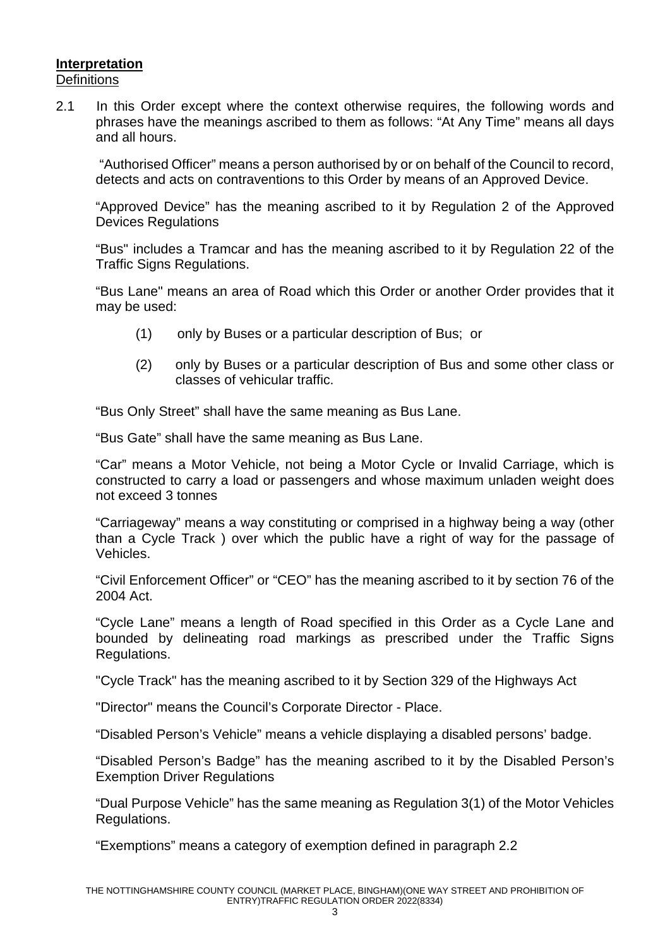#### **Interpretation Definitions**

2.1 In this Order except where the context otherwise requires, the following words and phrases have the meanings ascribed to them as follows: "At Any Time" means all days and all hours.

"Authorised Officer" means a person authorised by or on behalf of the Council to record, detects and acts on contraventions to this Order by means of an Approved Device.

"Approved Device" has the meaning ascribed to it by Regulation 2 of the Approved Devices Regulations

"Bus" includes a Tramcar and has the meaning ascribed to it by Regulation 22 of the Traffic Signs Regulations.

"Bus Lane" means an area of Road which this Order or another Order provides that it may be used:

- (1) only by Buses or a particular description of Bus; or
- (2) only by Buses or a particular description of Bus and some other class or classes of vehicular traffic.

"Bus Only Street" shall have the same meaning as Bus Lane.

"Bus Gate" shall have the same meaning as Bus Lane.

"Car" means a Motor Vehicle, not being a Motor Cycle or Invalid Carriage, which is constructed to carry a load or passengers and whose maximum unladen weight does not exceed 3 tonnes

"Carriageway" means a way constituting or comprised in a highway being a way (other than a Cycle Track ) over which the public have a right of way for the passage of Vehicles.

"Civil Enforcement Officer" or "CEO" has the meaning ascribed to it by section 76 of the 2004 Act.

"Cycle Lane" means a length of Road specified in this Order as a Cycle Lane and bounded by delineating road markings as prescribed under the Traffic Signs Regulations.

"Cycle Track" has the meaning ascribed to it by Section 329 of the Highways Act

"Director" means the Council's Corporate Director - Place.

"Disabled Person's Vehicle" means a vehicle displaying a disabled persons' badge.

"Disabled Person's Badge" has the meaning ascribed to it by the Disabled Person's Exemption Driver Regulations

"Dual Purpose Vehicle" has the same meaning as Regulation 3(1) of the Motor Vehicles Regulations.

"Exemptions" means a category of exemption defined in paragraph 2.2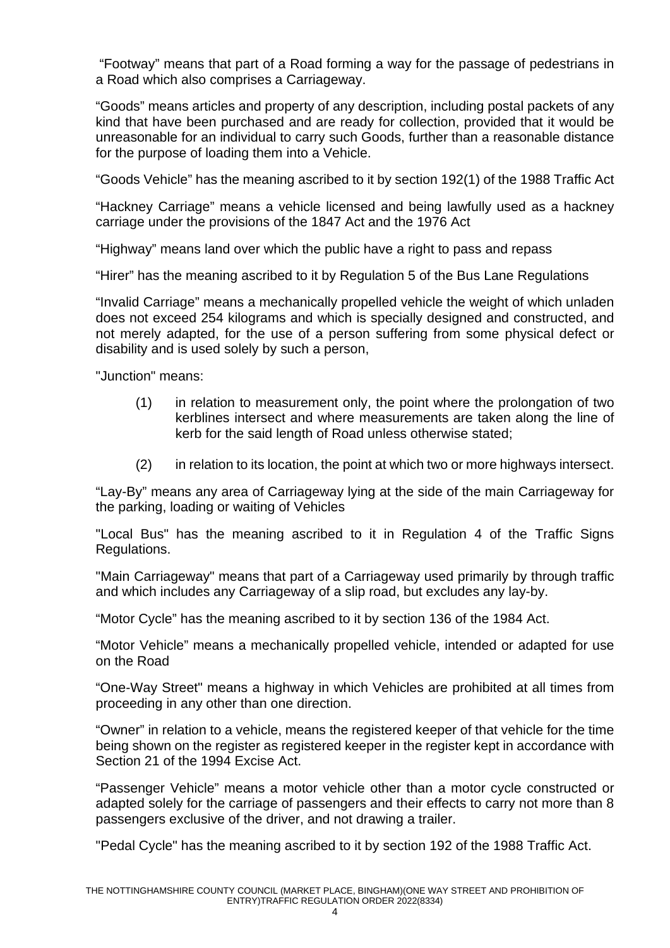"Footway" means that part of a Road forming a way for the passage of pedestrians in a Road which also comprises a Carriageway.

"Goods" means articles and property of any description, including postal packets of any kind that have been purchased and are ready for collection, provided that it would be unreasonable for an individual to carry such Goods, further than a reasonable distance for the purpose of loading them into a Vehicle.

"Goods Vehicle" has the meaning ascribed to it by section 192(1) of the 1988 Traffic Act

"Hackney Carriage" means a vehicle licensed and being lawfully used as a hackney carriage under the provisions of the 1847 Act and the 1976 Act

"Highway" means land over which the public have a right to pass and repass

"Hirer" has the meaning ascribed to it by Regulation 5 of the Bus Lane Regulations

"Invalid Carriage" means a mechanically propelled vehicle the weight of which unladen does not exceed 254 kilograms and which is specially designed and constructed, and not merely adapted, for the use of a person suffering from some physical defect or disability and is used solely by such a person,

"Junction" means:

- (1) in relation to measurement only, the point where the prolongation of two kerblines intersect and where measurements are taken along the line of kerb for the said length of Road unless otherwise stated;
- (2) in relation to its location, the point at which two or more highways intersect.

"Lay-By" means any area of Carriageway lying at the side of the main Carriageway for the parking, loading or waiting of Vehicles

"Local Bus" has the meaning ascribed to it in Regulation 4 of the Traffic Signs Regulations.

"Main Carriageway" means that part of a Carriageway used primarily by through traffic and which includes any Carriageway of a slip road, but excludes any lay-by.

"Motor Cycle" has the meaning ascribed to it by section 136 of the 1984 Act.

"Motor Vehicle" means a mechanically propelled vehicle, intended or adapted for use on the Road

"One-Way Street" means a highway in which Vehicles are prohibited at all times from proceeding in any other than one direction.

"Owner" in relation to a vehicle, means the registered keeper of that vehicle for the time being shown on the register as registered keeper in the register kept in accordance with Section 21 of the 1994 Excise Act.

"Passenger Vehicle" means a motor vehicle other than a motor cycle constructed or adapted solely for the carriage of passengers and their effects to carry not more than 8 passengers exclusive of the driver, and not drawing a trailer.

"Pedal Cycle" has the meaning ascribed to it by section 192 of the 1988 Traffic Act.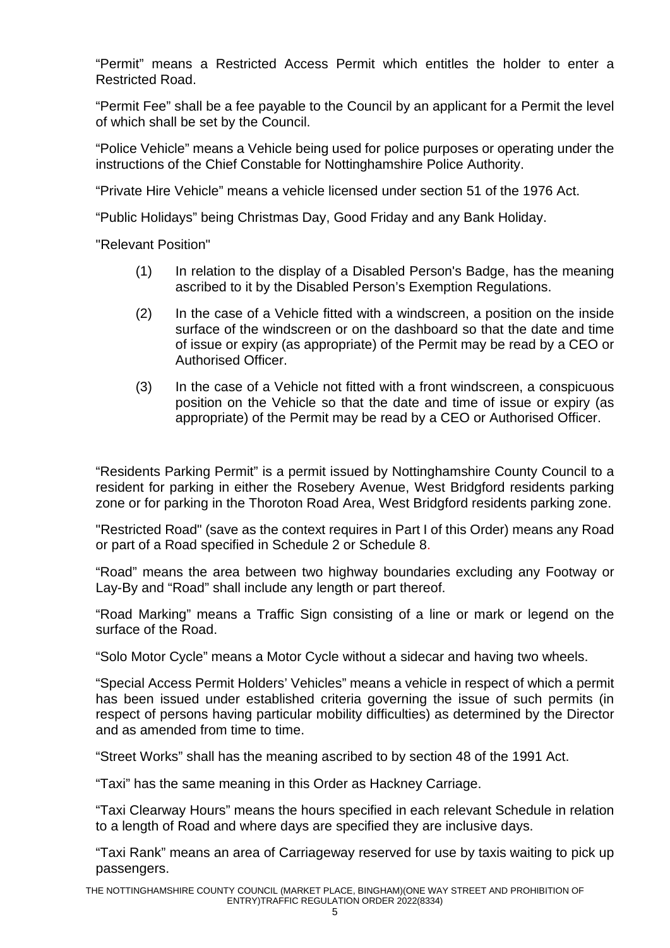"Permit" means a Restricted Access Permit which entitles the holder to enter a Restricted Road.

"Permit Fee" shall be a fee payable to the Council by an applicant for a Permit the level of which shall be set by the Council.

"Police Vehicle" means a Vehicle being used for police purposes or operating under the instructions of the Chief Constable for Nottinghamshire Police Authority.

"Private Hire Vehicle" means a vehicle licensed under section 51 of the 1976 Act.

"Public Holidays" being Christmas Day, Good Friday and any Bank Holiday.

"Relevant Position"

- (1) In relation to the display of a Disabled Person's Badge, has the meaning ascribed to it by the Disabled Person's Exemption Regulations.
- (2) In the case of a Vehicle fitted with a windscreen, a position on the inside surface of the windscreen or on the dashboard so that the date and time of issue or expiry (as appropriate) of the Permit may be read by a CEO or Authorised Officer.
- (3) In the case of a Vehicle not fitted with a front windscreen, a conspicuous position on the Vehicle so that the date and time of issue or expiry (as appropriate) of the Permit may be read by a CEO or Authorised Officer.

"Residents Parking Permit" is a permit issued by Nottinghamshire County Council to a resident for parking in either the Rosebery Avenue, West Bridgford residents parking zone or for parking in the Thoroton Road Area, West Bridgford residents parking zone.

"Restricted Road" (save as the context requires in Part I of this Order) means any Road or part of a Road specified in Schedule 2 or Schedule 8.

"Road" means the area between two highway boundaries excluding any Footway or Lay-By and "Road" shall include any length or part thereof.

"Road Marking" means a Traffic Sign consisting of a line or mark or legend on the surface of the Road.

"Solo Motor Cycle" means a Motor Cycle without a sidecar and having two wheels.

"Special Access Permit Holders' Vehicles" means a vehicle in respect of which a permit has been issued under established criteria governing the issue of such permits (in respect of persons having particular mobility difficulties) as determined by the Director and as amended from time to time.

"Street Works" shall has the meaning ascribed to by section 48 of the 1991 Act.

"Taxi" has the same meaning in this Order as Hackney Carriage.

"Taxi Clearway Hours" means the hours specified in each relevant Schedule in relation to a length of Road and where days are specified they are inclusive days.

"Taxi Rank" means an area of Carriageway reserved for use by taxis waiting to pick up passengers.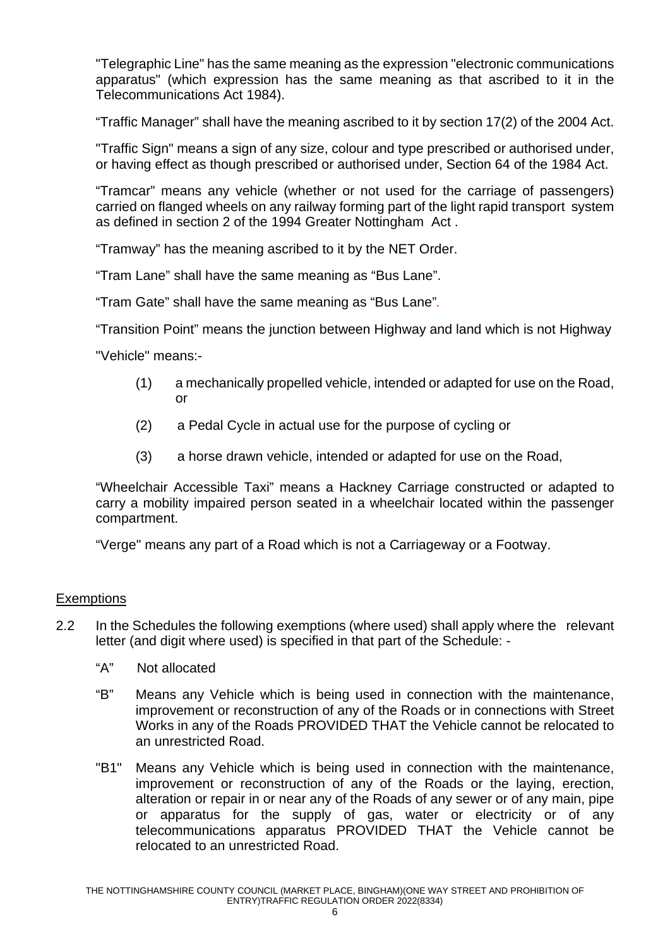"Telegraphic Line" has the same meaning as the expression "electronic communications apparatus" (which expression has the same meaning as that ascribed to it in the Telecommunications Act 1984).

"Traffic Manager" shall have the meaning ascribed to it by section 17(2) of the 2004 Act.

"Traffic Sign" means a sign of any size, colour and type prescribed or authorised under, or having effect as though prescribed or authorised under, Section 64 of the 1984 Act.

"Tramcar" means any vehicle (whether or not used for the carriage of passengers) carried on flanged wheels on any railway forming part of the light rapid transport system as defined in section 2 of the 1994 Greater Nottingham Act .

"Tramway" has the meaning ascribed to it by the NET Order.

"Tram Lane" shall have the same meaning as "Bus Lane".

"Tram Gate" shall have the same meaning as "Bus Lane"*.* 

"Transition Point" means the junction between Highway and land which is not Highway

"Vehicle" means:-

- (1) a mechanically propelled vehicle, intended or adapted for use on the Road, or
- (2) a Pedal Cycle in actual use for the purpose of cycling or
- (3) a horse drawn vehicle, intended or adapted for use on the Road,

"Wheelchair Accessible Taxi" means a Hackney Carriage constructed or adapted to carry a mobility impaired person seated in a wheelchair located within the passenger compartment.

"Verge" means any part of a Road which is not a Carriageway or a Footway.

#### **Exemptions**

- 2.2 In the Schedules the following exemptions (where used) shall apply where the relevant letter (and digit where used) is specified in that part of the Schedule: -
	- "A" Not allocated
	- "B" Means any Vehicle which is being used in connection with the maintenance, improvement or reconstruction of any of the Roads or in connections with Street Works in any of the Roads PROVIDED THAT the Vehicle cannot be relocated to an unrestricted Road.
	- "B1" Means any Vehicle which is being used in connection with the maintenance, improvement or reconstruction of any of the Roads or the laying, erection, alteration or repair in or near any of the Roads of any sewer or of any main, pipe or apparatus for the supply of gas, water or electricity or of any telecommunications apparatus PROVIDED THAT the Vehicle cannot be relocated to an unrestricted Road.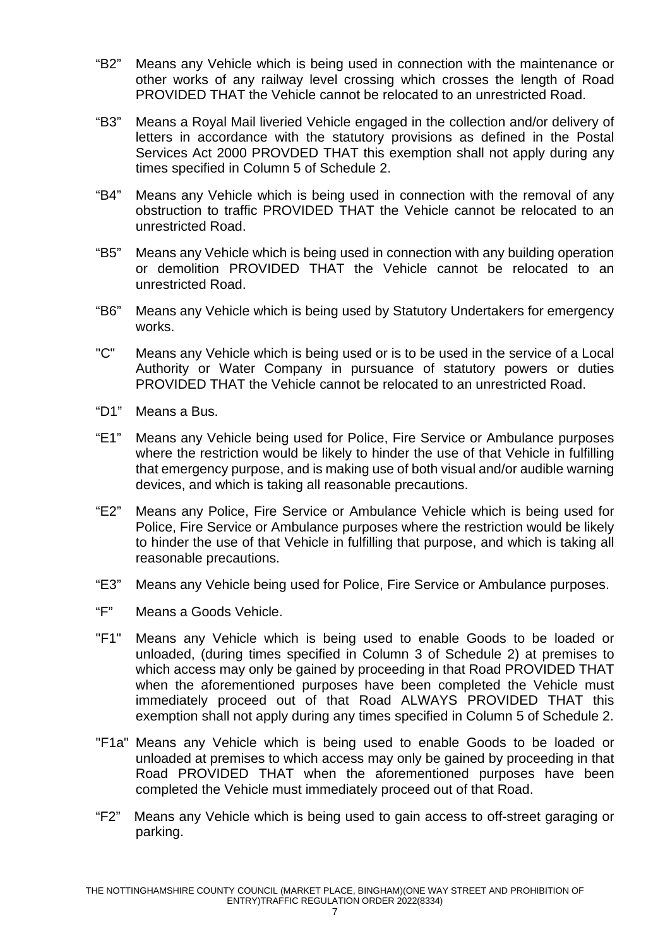- "B2" Means any Vehicle which is being used in connection with the maintenance or other works of any railway level crossing which crosses the length of Road PROVIDED THAT the Vehicle cannot be relocated to an unrestricted Road.
- "B3" Means a Royal Mail liveried Vehicle engaged in the collection and/or delivery of letters in accordance with the statutory provisions as defined in the Postal Services Act 2000 PROVDED THAT this exemption shall not apply during any times specified in Column 5 of Schedule 2.
- "B4" Means any Vehicle which is being used in connection with the removal of any obstruction to traffic PROVIDED THAT the Vehicle cannot be relocated to an unrestricted Road.
- "B5" Means any Vehicle which is being used in connection with any building operation or demolition PROVIDED THAT the Vehicle cannot be relocated to an unrestricted Road.
- "B6" Means any Vehicle which is being used by Statutory Undertakers for emergency works.
- "C" Means any Vehicle which is being used or is to be used in the service of a Local Authority or Water Company in pursuance of statutory powers or duties PROVIDED THAT the Vehicle cannot be relocated to an unrestricted Road.
- "D1" Means a Bus.
- "E1" Means any Vehicle being used for Police, Fire Service or Ambulance purposes where the restriction would be likely to hinder the use of that Vehicle in fulfilling that emergency purpose, and is making use of both visual and/or audible warning devices, and which is taking all reasonable precautions.
- "E2" Means any Police, Fire Service or Ambulance Vehicle which is being used for Police, Fire Service or Ambulance purposes where the restriction would be likely to hinder the use of that Vehicle in fulfilling that purpose, and which is taking all reasonable precautions.
- "E3" Means any Vehicle being used for Police, Fire Service or Ambulance purposes.
- "F" Means a Goods Vehicle.
- "F1" Means any Vehicle which is being used to enable Goods to be loaded or unloaded, (during times specified in Column 3 of Schedule 2) at premises to which access may only be gained by proceeding in that Road PROVIDED THAT when the aforementioned purposes have been completed the Vehicle must immediately proceed out of that Road ALWAYS PROVIDED THAT this exemption shall not apply during any times specified in Column 5 of Schedule 2.
- "F1a" Means any Vehicle which is being used to enable Goods to be loaded or unloaded at premises to which access may only be gained by proceeding in that Road PROVIDED THAT when the aforementioned purposes have been completed the Vehicle must immediately proceed out of that Road.
- "F2" Means any Vehicle which is being used to gain access to off-street garaging or parking.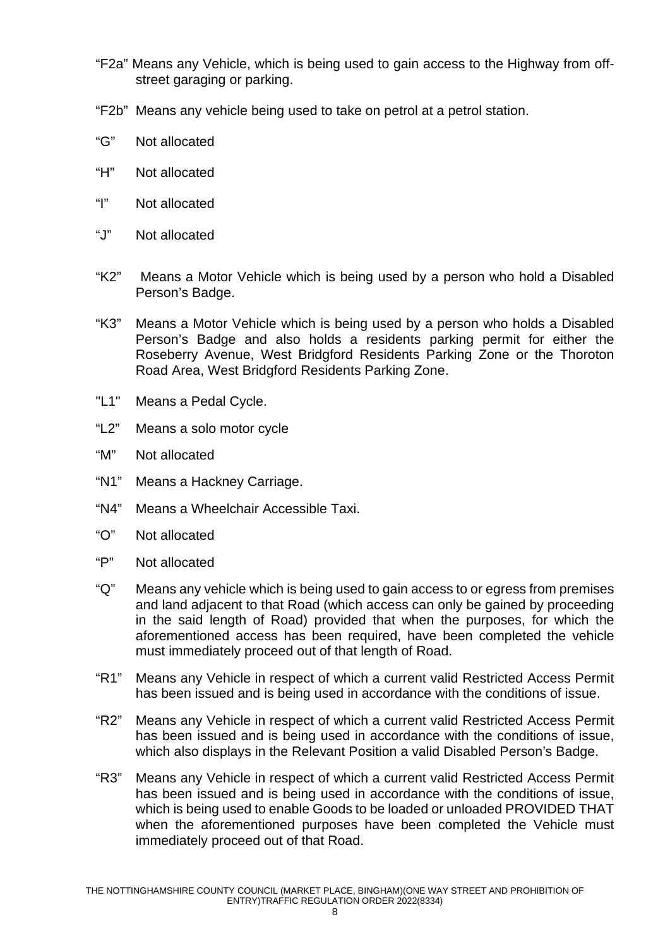- "F2a" Means any Vehicle, which is being used to gain access to the Highway from offstreet garaging or parking.
- "F2b" Means any vehicle being used to take on petrol at a petrol station.
- "G" Not allocated
- "H" Not allocated
- "I" Not allocated
- "J" Not allocated
- "K2" Means a Motor Vehicle which is being used by a person who hold a Disabled Person's Badge.
- "K3" Means a Motor Vehicle which is being used by a person who holds a Disabled Person's Badge and also holds a residents parking permit for either the Roseberry Avenue, West Bridgford Residents Parking Zone or the Thoroton Road Area, West Bridgford Residents Parking Zone.
- "L1" Means a Pedal Cycle.
- "L2" Means a solo motor cycle
- "M" Not allocated
- "N1" Means a Hackney Carriage.
- "N4" Means a Wheelchair Accessible Taxi.
- "O" Not allocated
- "P" Not allocated
- "Q" Means any vehicle which is being used to gain access to or egress from premises and land adjacent to that Road (which access can only be gained by proceeding in the said length of Road) provided that when the purposes, for which the aforementioned access has been required, have been completed the vehicle must immediately proceed out of that length of Road.
- "R1" Means any Vehicle in respect of which a current valid Restricted Access Permit has been issued and is being used in accordance with the conditions of issue.
- "R2" Means any Vehicle in respect of which a current valid Restricted Access Permit has been issued and is being used in accordance with the conditions of issue, which also displays in the Relevant Position a valid Disabled Person's Badge.
- "R3" Means any Vehicle in respect of which a current valid Restricted Access Permit has been issued and is being used in accordance with the conditions of issue, which is being used to enable Goods to be loaded or unloaded PROVIDED THAT when the aforementioned purposes have been completed the Vehicle must immediately proceed out of that Road.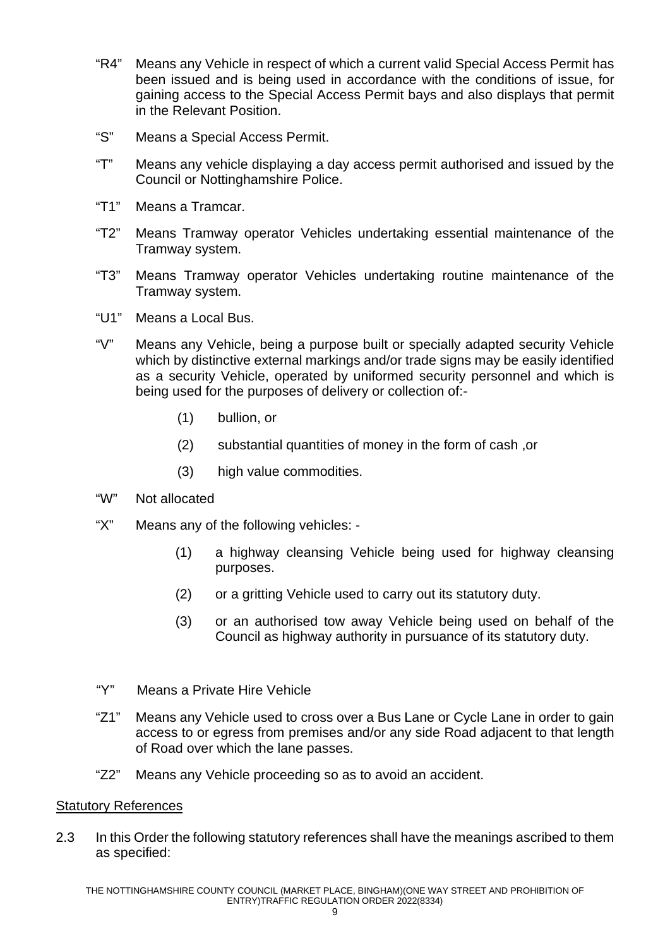- "R4" Means any Vehicle in respect of which a current valid Special Access Permit has been issued and is being used in accordance with the conditions of issue, for gaining access to the Special Access Permit bays and also displays that permit in the Relevant Position.
- "S" Means a Special Access Permit.
- "T" Means any vehicle displaying a day access permit authorised and issued by the Council or Nottinghamshire Police.
- "T1" Means a Tramcar.
- "T2" Means Tramway operator Vehicles undertaking essential maintenance of the Tramway system.
- "T3" Means Tramway operator Vehicles undertaking routine maintenance of the Tramway system.
- "U1" Means a Local Bus.
- "V" Means any Vehicle, being a purpose built or specially adapted security Vehicle which by distinctive external markings and/or trade signs may be easily identified as a security Vehicle, operated by uniformed security personnel and which is being used for the purposes of delivery or collection of:-
	- (1) bullion, or
	- (2) substantial quantities of money in the form of cash ,or
	- (3) high value commodities.
- "W" Not allocated
- "X" Means any of the following vehicles:
	- (1) a highway cleansing Vehicle being used for highway cleansing purposes.
	- (2) or a gritting Vehicle used to carry out its statutory duty.
	- (3) or an authorised tow away Vehicle being used on behalf of the Council as highway authority in pursuance of its statutory duty.
- "Y" Means a Private Hire Vehicle
- "Z1" Means any Vehicle used to cross over a Bus Lane or Cycle Lane in order to gain access to or egress from premises and/or any side Road adjacent to that length of Road over which the lane passes.
- "Z2" Means any Vehicle proceeding so as to avoid an accident.

#### Statutory References

2.3 In this Order the following statutory references shall have the meanings ascribed to them as specified: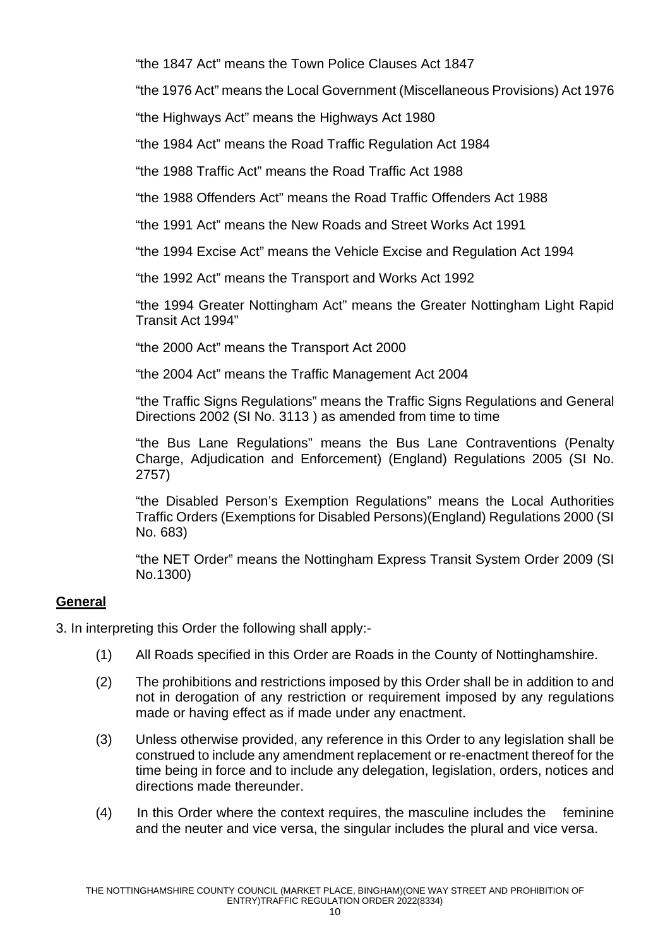"the 1847 Act" means the Town Police Clauses Act 1847

"the 1976 Act" means the Local Government (Miscellaneous Provisions) Act 1976

"the Highways Act" means the Highways Act 1980

"the 1984 Act" means the Road Traffic Regulation Act 1984

"the 1988 Traffic Act" means the Road Traffic Act 1988

"the 1988 Offenders Act" means the Road Traffic Offenders Act 1988

"the 1991 Act" means the New Roads and Street Works Act 1991

"the 1994 Excise Act" means the Vehicle Excise and Regulation Act 1994

"the 1992 Act" means the Transport and Works Act 1992

"the 1994 Greater Nottingham Act" means the Greater Nottingham Light Rapid Transit Act 1994"

"the 2000 Act" means the Transport Act 2000

"the 2004 Act" means the Traffic Management Act 2004

"the Traffic Signs Regulations" means the Traffic Signs Regulations and General Directions 2002 (SI No. 3113 ) as amended from time to time

"the Bus Lane Regulations" means the Bus Lane Contraventions (Penalty Charge, Adjudication and Enforcement) (England) Regulations 2005 (SI No. 2757)

"the Disabled Person's Exemption Regulations" means the Local Authorities Traffic Orders (Exemptions for Disabled Persons)(England) Regulations 2000 (SI No. 683)

"the NET Order" means the Nottingham Express Transit System Order 2009 (SI No.1300)

# **General**

3. In interpreting this Order the following shall apply:-

- (1) All Roads specified in this Order are Roads in the County of Nottinghamshire.
- (2) The prohibitions and restrictions imposed by this Order shall be in addition to and not in derogation of any restriction or requirement imposed by any regulations made or having effect as if made under any enactment.
- (3) Unless otherwise provided, any reference in this Order to any legislation shall be construed to include any amendment replacement or re-enactment thereof for the time being in force and to include any delegation, legislation, orders, notices and directions made thereunder.
- (4) In this Order where the context requires, the masculine includes the feminine and the neuter and vice versa, the singular includes the plural and vice versa.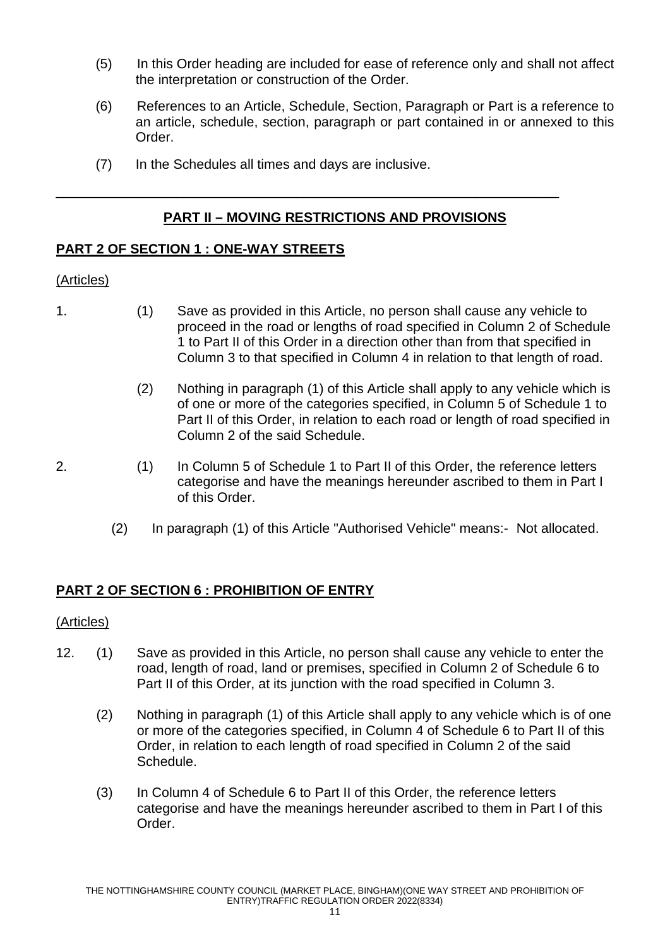- (5) In this Order heading are included for ease of reference only and shall not affect the interpretation or construction of the Order.
- (6) References to an Article, Schedule, Section, Paragraph or Part is a reference to an article, schedule, section, paragraph or part contained in or annexed to this Order.
- (7) In the Schedules all times and days are inclusive.

### **PART II – MOVING RESTRICTIONS AND PROVISIONS**

\_\_\_\_\_\_\_\_\_\_\_\_\_\_\_\_\_\_\_\_\_\_\_\_\_\_\_\_\_\_\_\_\_\_\_\_\_\_\_\_\_\_\_\_\_\_\_\_\_\_\_\_\_\_\_\_\_\_\_\_\_\_\_\_\_\_\_

### **PART 2 OF SECTION 1 : ONE-WAY STREETS**

#### (Articles)

- 1. (1) Save as provided in this Article, no person shall cause any vehicle to proceed in the road or lengths of road specified in Column 2 of Schedule 1 to Part II of this Order in a direction other than from that specified in Column 3 to that specified in Column 4 in relation to that length of road.
	- (2) Nothing in paragraph (1) of this Article shall apply to any vehicle which is of one or more of the categories specified, in Column 5 of Schedule 1 to Part II of this Order, in relation to each road or length of road specified in Column 2 of the said Schedule.
- 
- 2. (1) In Column 5 of Schedule 1 to Part II of this Order, the reference letters categorise and have the meanings hereunder ascribed to them in Part I of this Order.
	- (2) In paragraph (1) of this Article "Authorised Vehicle" means:- Not allocated.

### **PART 2 OF SECTION 6 : PROHIBITION OF ENTRY**

#### (Articles)

- 12. (1) Save as provided in this Article, no person shall cause any vehicle to enter the road, length of road, land or premises, specified in Column 2 of Schedule 6 to Part II of this Order, at its junction with the road specified in Column 3.
	- (2) Nothing in paragraph (1) of this Article shall apply to any vehicle which is of one or more of the categories specified, in Column 4 of Schedule 6 to Part II of this Order, in relation to each length of road specified in Column 2 of the said Schedule.
	- (3) In Column 4 of Schedule 6 to Part II of this Order, the reference letters categorise and have the meanings hereunder ascribed to them in Part I of this Order.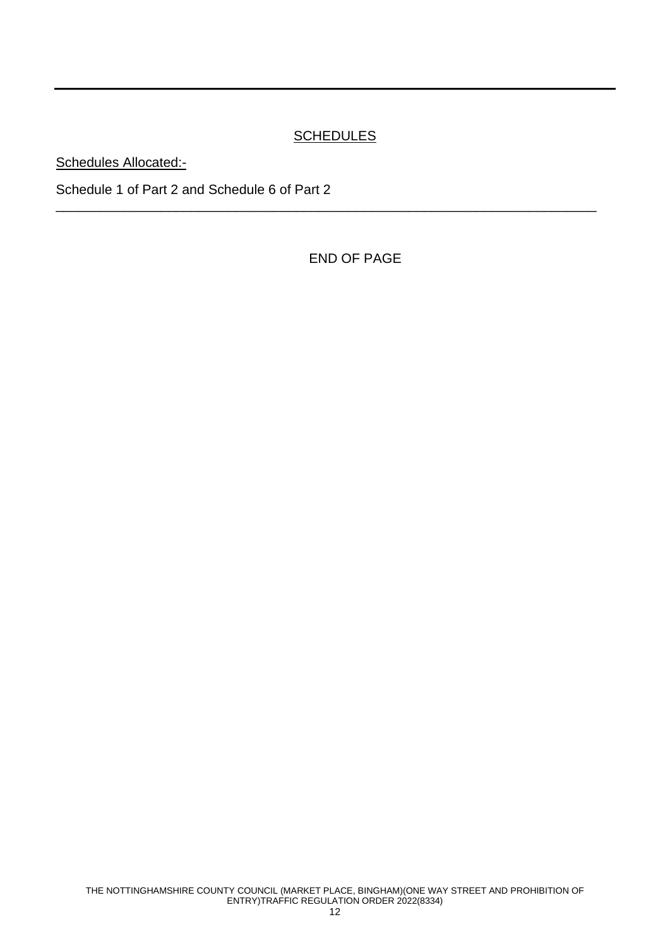# **SCHEDULES**

\_\_\_\_\_\_\_\_\_\_\_\_\_\_\_\_\_\_\_\_\_\_\_\_\_\_\_\_\_\_\_\_\_\_\_\_\_\_\_\_\_\_\_\_\_\_\_\_\_\_\_\_\_\_\_\_\_\_\_\_\_\_\_\_\_\_\_\_\_\_\_\_

Schedules Allocated:-

Schedule 1 of Part 2 and Schedule 6 of Part 2

END OF PAGE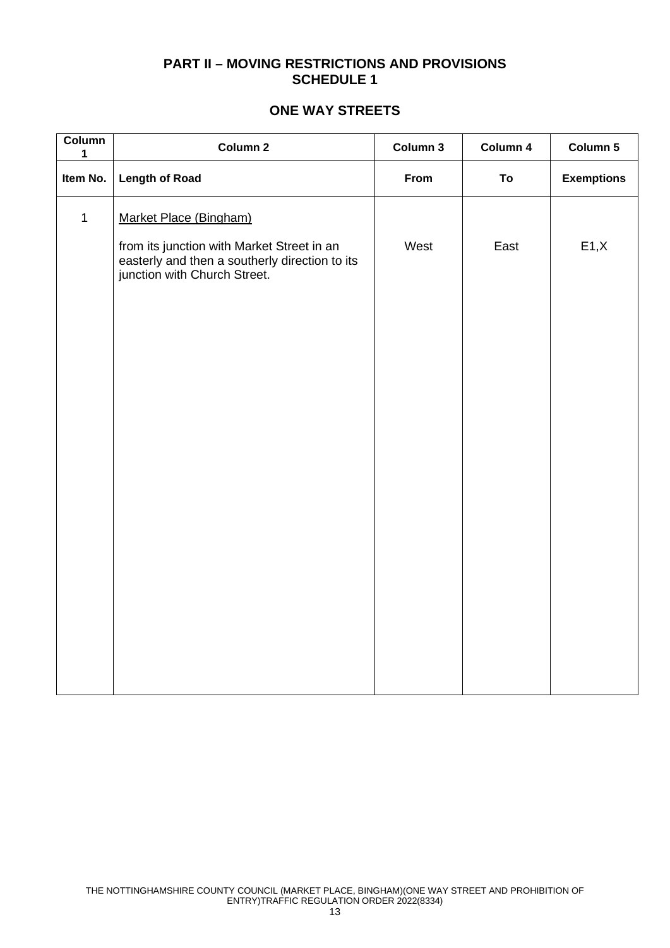### **PART II – MOVING RESTRICTIONS AND PROVISIONS SCHEDULE 1**

### **ONE WAY STREETS**

| Column<br>1  | Column 2                                                                       | Column 3 | Column 4 | Column 5          |
|--------------|--------------------------------------------------------------------------------|----------|----------|-------------------|
| Item No.     | <b>Length of Road</b>                                                          | From     | To       | <b>Exemptions</b> |
| $\mathbf{1}$ | Market Place (Bingham)<br>from its junction with Market Street in an           | West     | East     | E1, X             |
|              | easterly and then a southerly direction to its<br>junction with Church Street. |          |          |                   |
|              |                                                                                |          |          |                   |
|              |                                                                                |          |          |                   |
|              |                                                                                |          |          |                   |
|              |                                                                                |          |          |                   |
|              |                                                                                |          |          |                   |
|              |                                                                                |          |          |                   |
|              |                                                                                |          |          |                   |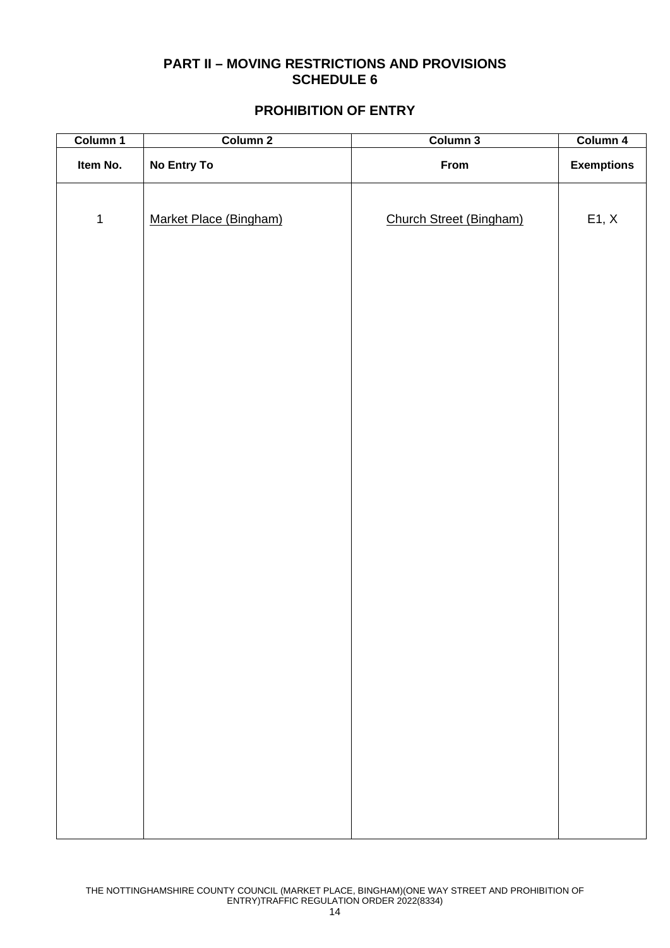### **PART II – MOVING RESTRICTIONS AND PROVISIONS SCHEDULE 6**

#### **PROHIBITION OF ENTRY**

| Column 1    | Column 2               | Column 3                | Column 4          |
|-------------|------------------------|-------------------------|-------------------|
| Item No.    | No Entry To            | From                    | <b>Exemptions</b> |
| $\mathbf 1$ | Market Place (Bingham) | Church Street (Bingham) | E1, X             |
|             |                        |                         |                   |
|             |                        |                         |                   |
|             |                        |                         |                   |
|             |                        |                         |                   |
|             |                        |                         |                   |
|             |                        |                         |                   |
|             |                        |                         |                   |
|             |                        |                         |                   |
|             |                        |                         |                   |
|             |                        |                         |                   |
|             |                        |                         |                   |
|             |                        |                         |                   |
|             |                        |                         |                   |
|             |                        |                         |                   |